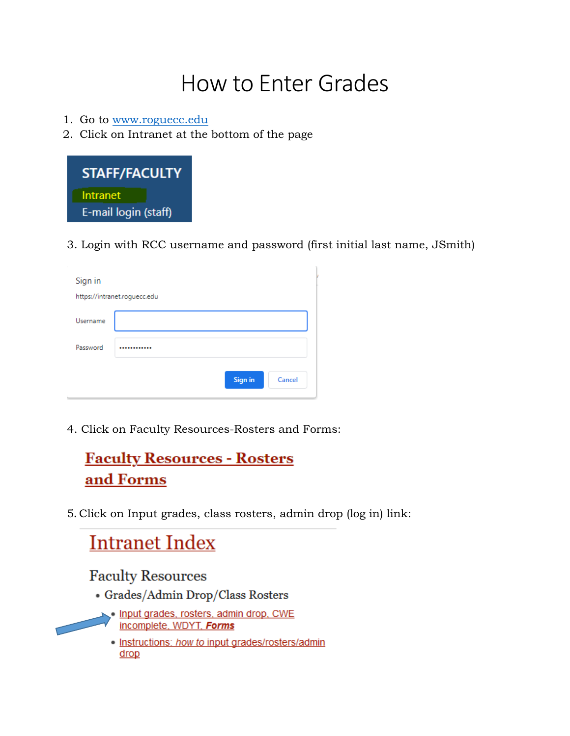## How to Enter Grades

- 1. Go to [www.roguecc.edu](http://www.roguecc.edu/)
- 2. Click on Intranet at the bottom of the page



3. Login with RCC username and password (first initial last name, JSmith)

| Sign in                      |                   |  |  |  |  |
|------------------------------|-------------------|--|--|--|--|
| https://intranet.roguecc.edu |                   |  |  |  |  |
| Username                     |                   |  |  |  |  |
| Password                     |                   |  |  |  |  |
|                              | Sign in<br>Cancel |  |  |  |  |

4. Click on Faculty Resources-Rosters and Forms:

## **Faculty Resources - Rosters** and Forms

5**.** Click on Input grades, class rosters, admin drop (log in) link:

## **Intranet Index Faculty Resources**

- · Grades/Admin Drop/Class Rosters
- Input grades, rosters, admin drop, CWE incomplete, WDYT, Forms
	- . Instructions: how to input grades/rosters/admin drop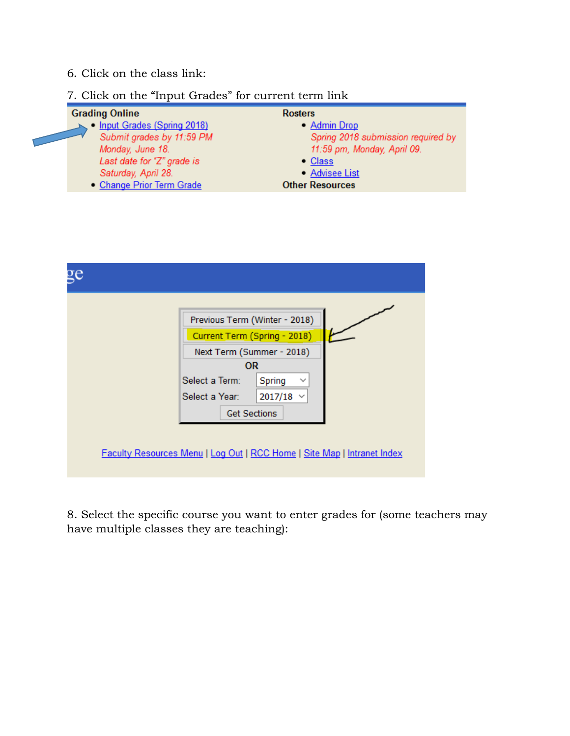- 6**.** Click on the class link:
- 7**.** Click on the "Input Grades" for current term link

| <b>Rosters</b>                     |
|------------------------------------|
| • Admin Drop                       |
| Spring 2018 submission required by |
| 11:59 pm, Monday, April 09.        |
| $\bullet$ Class                    |
| • Advisee List                     |
| <b>Other Resources</b>             |
|                                    |



8. Select the specific course you want to enter grades for (some teachers may have multiple classes they are teaching):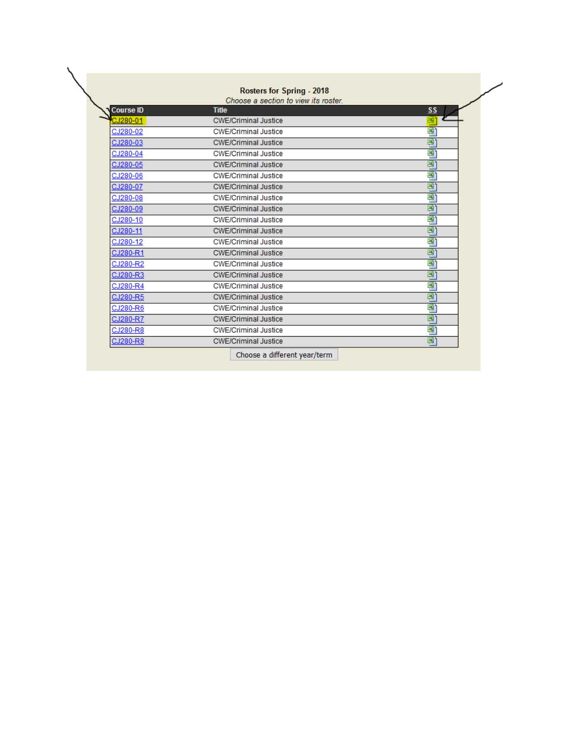|  | <b>Rosters for Spring - 2018</b> |  |
|--|----------------------------------|--|
|--|----------------------------------|--|

Choose a section to view its roster.

| <b>Course ID</b> | <b>Title</b>                 | SS |
|------------------|------------------------------|----|
| CJ280-01         | <b>CWE/Criminal Justice</b>  | 国  |
| CJ280-02         | <b>CWE/Criminal Justice</b>  | 쫼  |
| CJ280-03         | <b>CWE/Criminal Justice</b>  | 團  |
| CJ280-04         | <b>CWE/Criminal Justice</b>  | 꽬  |
| CJ280-05         | <b>CWE/Criminal Justice</b>  | 쫼  |
| CJ280-06         | <b>CWE/Criminal Justice</b>  | 꽬  |
| CJ280-07         | <b>CWE/Criminal Justice</b>  | 꽽  |
| CJ280-08         | <b>CWE/Criminal Justice</b>  | 쫼  |
| CJ280-09         | <b>CWE/Criminal Justice</b>  | 꽬  |
| CJ280-10         | <b>CWE/Criminal Justice</b>  | 횁  |
| CJ280-11         | <b>CWE/Criminal Justice</b>  | 쫼  |
| CJ280-12         | <b>CWE/Criminal Justice</b>  | 쫼  |
| CJ280-R1         | <b>CWE/Criminal Justice</b>  | 粵  |
| CJ280-R2         | <b>CWE/Criminal Justice</b>  | 꽬  |
| CJ280-R3         | <b>CWE/Criminal Justice</b>  | 죁  |
| CJ280-R4         | <b>CWE/Criminal Justice</b>  | 쫼  |
| CJ280-R5         | <b>CWE/Criminal Justice</b>  | 죁  |
| CJ280-R6         | <b>CWE/Criminal Justice</b>  | 쫼  |
| CJ280-R7         | <b>CWE/Criminal Justice</b>  | 폘  |
| CJ280-R8         | <b>CWE/Criminal Justice</b>  | 쫼  |
| CJ280-R9         | <b>CWE/Criminal Justice</b>  | 團  |
|                  | Choose a different year/term |    |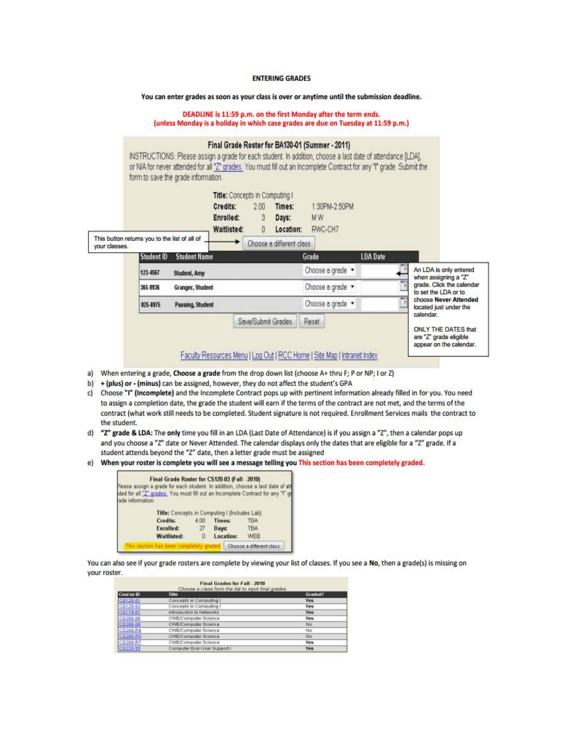## **ENTERING GRADES**

You can enter grades as soon as your class is over or anytime until the submission deadline.

DEADLINE is 11:59 p.m. on the first Monday after the term ends. (unless Monday is a holiday in which case grades are due on Tuesday at 11:59 p.m.)

|                                                                |                              | form to save the grade information. |                                                                        |                    |                                                          | Final Grade Roster for BA130-01 (Summer - 2011)<br>INSTRUCTIONS: Please assign a grade for each student. In addition, choose a last date of attendance [LDA],<br>or N/A for never attended for all 'Z' grades. You must fill out an incomplete Contract for any "I" grade. Submit the |                 |                                                   |
|----------------------------------------------------------------|------------------------------|-------------------------------------|------------------------------------------------------------------------|--------------------|----------------------------------------------------------|---------------------------------------------------------------------------------------------------------------------------------------------------------------------------------------------------------------------------------------------------------------------------------------|-----------------|---------------------------------------------------|
| This button returns you to the list of all of<br>vour classes. |                              |                                     | Title: Concepts in Computing I<br>Credits:<br>Enrolled:<br>Waitlisted: | 2.00<br>3<br>0     | Times:<br>Days:<br>Location:<br>Choose a different class | 1:30PM-2:50PM<br><b>MW</b><br>RWC-CH7                                                                                                                                                                                                                                                 |                 |                                                   |
|                                                                | Student ID                   | <b>Student Name</b>                 |                                                                        |                    |                                                          | Grade                                                                                                                                                                                                                                                                                 | <b>LDA</b> Date |                                                   |
|                                                                | 123-4567                     | Student, Amy                        |                                                                        |                    |                                                          | Choose a grade v                                                                                                                                                                                                                                                                      |                 | An LDA is only entered<br>when assigning a "Z"    |
|                                                                | 365-9936                     | Granger, Student                    |                                                                        |                    |                                                          | Choose a grade *                                                                                                                                                                                                                                                                      |                 | grade. Click the calendar<br>to set the LDA or to |
|                                                                | Passing, Student<br>025-8975 |                                     |                                                                        |                    |                                                          | Choose a grade .                                                                                                                                                                                                                                                                      |                 | choose Never Attended<br>located just under the   |
|                                                                |                              |                                     |                                                                        | Seve/Submit Grades |                                                          | Reset                                                                                                                                                                                                                                                                                 |                 | calendar.<br><b>ONLY THE DATES that</b>           |
|                                                                |                              |                                     |                                                                        |                    |                                                          | Faculty Resources Menu   Log Out   RCC Home   Site Map   Intranet Index                                                                                                                                                                                                               |                 | are "Z" grade eligible<br>appear on the calendar. |

- a) When entering a grade, Choose a grade from the drop down list (choose A+ thru F; P or NP; I or Z)
- b) + (plus) or (minus) can be assigned, however, they do not affect the student's GPA
- c) Choose "I" (Incomplete) and the Incomplete Contract pops up with pertinent information already filled in for you. You need to assign a completion date, the grade the student will earn if the terms of the contract are not met, and the terms of the contract (what work still needs to be completed. Student signature is not required. Enrollment Services mails the contract to the student.
- d) "Z" grade & LDA: The only time you fill in an LDA (Last Date of Attendance) is if you assign a "Z", then a calendar pops up and you choose a "Z" date or Never Attended. The calendar displays only the dates that are eligible for a "Z" grade. If a student attends beyond the "Z" date, then a letter grade must be assigned
- e) When your roster is complete you will see a message telling you This section has been completely graded.

|                  | Final Grade Roster for CS120-03 (Fall - 2010) |      |                                               | Please assign a grade for each student. In addition, choose a last date of att    |
|------------------|-----------------------------------------------|------|-----------------------------------------------|-----------------------------------------------------------------------------------|
| ade information. |                                               |      |                                               | ided for all "Z" grades. You must fill out an incomplete Contract for any "I" gri |
|                  |                                               |      | Title: Concepts in Computing I (Includes Lab) |                                                                                   |
|                  | <b>Credits:</b>                               | 4.00 | Times:                                        | <b>TBA</b>                                                                        |
|                  |                                               |      |                                               |                                                                                   |
|                  | Enrolled:                                     | 27   | Days:                                         | TBA                                                                               |

You can also see if your grade rosters are complete by viewing your list of classes. If you see a No, then a grade(s) is missing on your roster.

| Final Grades for Fall - 2010<br>Choose a class from the list to input final grades. |                             |              |  |
|-------------------------------------------------------------------------------------|-----------------------------|--------------|--|
| Course ID                                                                           | Title                       | Graded?      |  |
| C6120-01                                                                            | Concepts in Computing I     | <b>Yes</b>   |  |
| CS120-02                                                                            | Concepts in Computing I     | <b>Yes</b>   |  |
| CS178-01                                                                            | Introduction to Networks    | <b>Yers:</b> |  |
| CE2 00-06                                                                           | CWE/Computer Science        | Yes          |  |
| 08280-08                                                                            | <b>CWE/Computer Science</b> | No           |  |
| C6280-R4                                                                            | CWE/Computer Brience        | No           |  |
| C8280-R5                                                                            | <b>CWE/Computer Science</b> | No           |  |
| C8280-R7                                                                            | CWE/Computer Science        | <b>Yes</b>   |  |
| C8225-56                                                                            | Computer End-User Support I | Yes          |  |